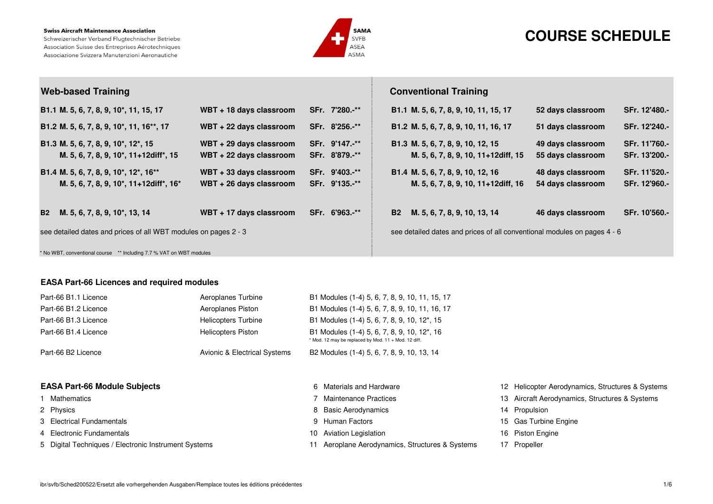#### **Swiss Aircraft Maintenance Association**

Schweizerischer Verband Flugtechnischer Betriebe Association Suisse des Entreprises Aérotechniques Associazione Svizzera Manutenzioni Aeronautiche



# **COURSE SCHEDULE**

| <b>Web-based Training</b>                                                                                                                                   |                                                    |                                  | <b>Conventional Training</b>                                             |                                        |                                |
|-------------------------------------------------------------------------------------------------------------------------------------------------------------|----------------------------------------------------|----------------------------------|--------------------------------------------------------------------------|----------------------------------------|--------------------------------|
| B1.1 M. 5, 6, 7, 8, 9, 10 <sup>*</sup> , 11, 15, 17                                                                                                         | WBT + 18 days classroom                            | SFr. 7'280.-**                   | B1.1 M. 5, 6, 7, 8, 9, 10, 11, 15, 17                                    | 52 days classroom                      | SFr. 12'480.-                  |
| B1.2 M. 5, 6, 7, 8, 9, 10 <sup>*</sup> , 11, 16 <sup>**</sup> , 17                                                                                          | WBT + 22 days classroom                            | SFr. 8'256.-**                   | B1.2 M. 5, 6, 7, 8, 9, 10, 11, 16, 17                                    | 51 days classroom                      | SFr. 12'240.-                  |
| B1.3 M. 5, 6, 7, 8, 9, 10 <sup>*</sup> , 12 <sup>*</sup> , 15<br>M. 5, 6, 7, 8, 9, 10 <sup>*</sup> , 11+12diff <sup>*</sup> , 15                            | WBT + 29 days classroom<br>WBT + 22 days classroom | SFr. 9'147.-**<br>SFr. 8'879.-** | B1.3 M. 5, 6, 7, 8, 9, 10, 12, 15<br>M. 5, 6, 7, 8, 9, 10, 11+12diff, 15 | 49 days classroom<br>55 days classroom | SFr. 11'760.-<br>SFr. 13'200.- |
| B1.4 M. 5, 6, 7, 8, 9, 10 <sup>*</sup> , 12 <sup>*</sup> , 16 <sup>**</sup><br>M. 5, 6, 7, 8, 9, 10 <sup>*</sup> , 11+12diff <sup>*</sup> , 16 <sup>*</sup> | WBT + 33 days classroom<br>WBT + 26 days classroom | SFr. 9'403.-**<br>SFr. 9'135.-** | B1.4 M. 5, 6, 7, 8, 9, 10, 12, 16<br>M. 5, 6, 7, 8, 9, 10, 11+12diff, 16 | 48 days classroom<br>54 days classroom | SFr. 11'520.-<br>SFr. 12'960.- |
| M. 5, 6, 7, 8, 9, 10 <sup>*</sup> , 13, 14<br><b>B2</b>                                                                                                     | WBT + 17 days classroom                            | SFr. 6'963.-**                   | M. 5, 6, 7, 8, 9, 10, 13, 14<br><b>B2</b>                                | 46 days classroom                      | SFr. 10'560.-                  |
| see detailed dates and prices of all WBT modules on pages 2 - 3                                                                                             |                                                    |                                  | see detailed dates and prices of all conventional modules on pages 4 - 6 |                                        |                                |
| * No WBT, conventional course ** Including 7.7 % VAT on WBT modules                                                                                         |                                                    |                                  |                                                                          |                                        |                                |

### **EASA Part-66 Licences and required modules**

| Part-66 B1.1 Licence | Aeroplanes Turbine                      | B1 Modules (1-4) 5, 6, 7, 8, 9, 10, 11, 15, 17                                                      |
|----------------------|-----------------------------------------|-----------------------------------------------------------------------------------------------------|
| Part-66 B1.2 Licence | Aeroplanes Piston                       | B1 Modules (1-4) 5, 6, 7, 8, 9, 10, 11, 16, 17                                                      |
| Part-66 B1.3 Licence | <b>Helicopters Turbine</b>              | B1 Modules (1-4) 5, 6, 7, 8, 9, 10, 12*, 15                                                         |
| Part-66 B1.4 Licence | <b>Helicopters Piston</b>               | B1 Modules (1-4) 5, 6, 7, 8, 9, 10, 12*, 16<br>* Mod. 12 may be replaced by Mod. 11 + Mod. 12 diff. |
| Part-66 B2 Licence   | <b>Avionic &amp; Electrical Systems</b> | B2 Modules (1-4) 5, 6, 7, 8, 9, 10, 13, 14                                                          |

| <b>EASA Part-66 Module Subjects</b>                  | 6 Materials and Hardware                     | 12 Helicopter Aerodynamics, Structures & Systems |
|------------------------------------------------------|----------------------------------------------|--------------------------------------------------|
| Mathematics                                          | Maintenance Practices                        | 13 Aircraft Aerodynamics, Structures & Systems   |
| 2 Physics                                            | 8 Basic Aerodynamics                         | 14 Propulsion                                    |
| 3 Electrical Fundamentals                            | 9 Human Factors                              | 15 Gas Turbine Engine                            |
| 4 Electronic Fundamentals                            | 10 Aviation Legislation                      | 16 Piston Engine                                 |
| 5 Digital Techniques / Electronic Instrument Systems | Aeroplane Aerodynamics, Structures & Systems | 17 Propeller                                     |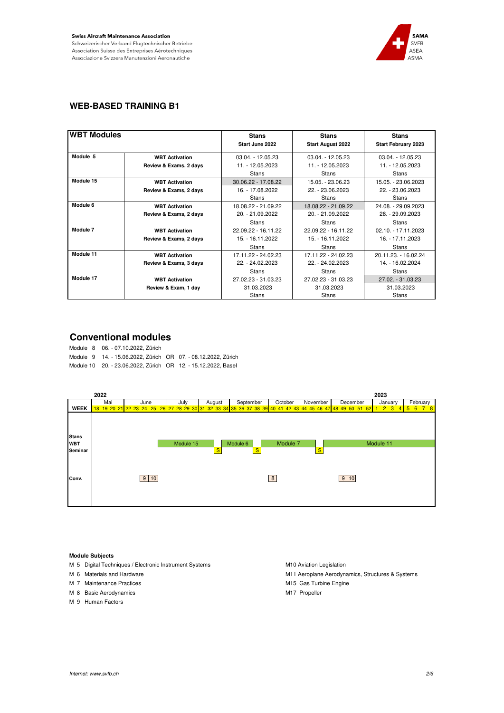

### **WEB-BASED TRAINING B1**

| <b>WBT Modules</b> |                        | <b>Stans</b><br>Start June 2022 | <b>Stans</b><br><b>Start August 2022</b> | <b>Stans</b><br><b>Start February 2023</b> |
|--------------------|------------------------|---------------------------------|------------------------------------------|--------------------------------------------|
| Module 5           | <b>WBT Activation</b>  | $03.04. - 12.05.23$             | $03.04. - 12.05.23$                      | $03.04. - 12.05.23$                        |
|                    | Review & Exams, 2 days | 11. - 12.05.2023                | 11. - 12.05.2023                         | 11. - 12.05.2023                           |
|                    |                        | <b>Stans</b>                    | Stans                                    | <b>Stans</b>                               |
| Module 15          | <b>WBT Activation</b>  | 30.06.22 - 17.08.22             | 15.05. - 23.06.23                        | 15.05. - 23.06.2023                        |
|                    | Review & Exams, 2 days | 16. - 17.08.2022                | 22. - 23.06.2023                         | 22. - 23.06.2023                           |
|                    |                        | <b>Stans</b>                    | <b>Stans</b>                             | <b>Stans</b>                               |
| Module 6           | <b>WBT Activation</b>  | 18.08.22 - 21.09.22             | 18.08.22 - 21.09.22                      | 24.08. - 29.09.2023                        |
|                    | Review & Exams, 2 days | 20. - 21.09.2022                | 20. - 21.09.2022                         | 28. - 29.09.2023                           |
|                    |                        | <b>Stans</b>                    | <b>Stans</b>                             | <b>Stans</b>                               |
| Module 7           | <b>WBT Activation</b>  | 22.09.22 - 16.11.22             | 22.09.22 - 16.11.22                      | 02.10. - 17.11.2023                        |
|                    | Review & Exams, 2 days | 15. - 16.11.2022                | 15. - 16.11.2022                         | 16. - 17.11.2023                           |
|                    |                        | <b>Stans</b>                    | <b>Stans</b>                             | <b>Stans</b>                               |
| Module 11          | <b>WBT Activation</b>  | 17.11.22 - 24.02.23             | 17.11.22 - 24.02.23                      | 20.11.23. - 16.02.24                       |
|                    | Review & Exams, 3 days | 22. - 24.02.2023                | 22. - 24.02.2023                         | 14. - 16.02.2024                           |
|                    |                        | <b>Stans</b>                    | <b>Stans</b>                             | <b>Stans</b>                               |
| Module 17          | <b>WBT Activation</b>  | 27.02.23 - 31.03.23             | 27.02.23 - 31.03.23                      | 27.02. - 31.03.23                          |
|                    | Review & Exam, 1 day   | 31.03.2023                      | 31.03.2023                               | 31.03.2023                                 |
|                    |                        | Stans                           | Stans                                    | <b>Stans</b>                               |

### **Conventional modules**

Module 8 06. - 07.10.2022, Zürich Module 9 14. - 15.06.2022, Zürich OR 07. - 08.12.2022, Zürich Module 10 20. - 23.06.2022, Zürich OR 12. - 15.12.2022, Basel



#### **Module Subjects**

- M 5 Digital Techniques / Electronic Instrument Systems M10 Aviation Legislation
- 
- M 7 Maintenance Practices M15 Gas Turbine Engine
- M 8 Basic Aerodynamics **M17** Propeller
- M 9 Human Factors

M 6 Materials and Hardware M11 Aeroplane Aerodynamics, Structures & Systems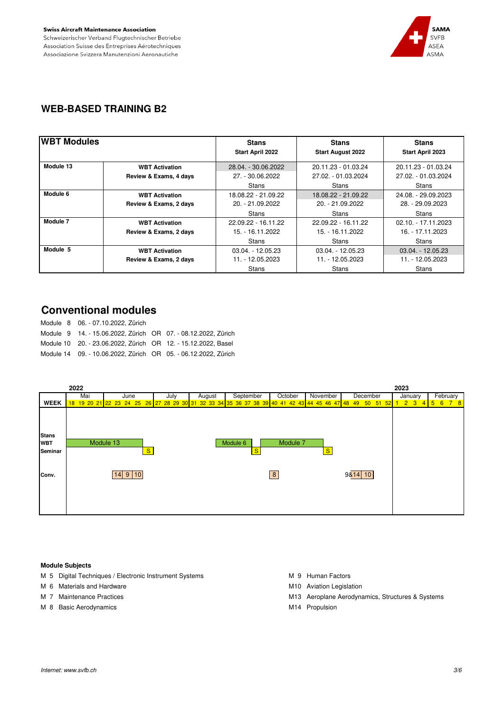

### **WEB-BASED TRAINING B2**

| <b>WBT Modules</b> |                        | <b>Stans</b>            | <b>Stans</b>             | <b>Stans</b>        |
|--------------------|------------------------|-------------------------|--------------------------|---------------------|
|                    |                        | <b>Start April 2022</b> | <b>Start August 2022</b> | Start April 2023    |
| Module 13          | <b>WBT Activation</b>  | 28.04. - 30.06.2022     | 20.11.23 - 01.03.24      | 20.11.23 - 01.03.24 |
|                    | Review & Exams, 4 days | 27. - 30.06.2022        | 27.02. - 01.03.2024      | 27.02. - 01.03.2024 |
|                    |                        | Stans                   | Stans                    | Stans               |
| Module 6           | <b>WBT Activation</b>  | 18.08.22 - 21.09.22     | 18.08.22 - 21.09.22      | 24.08. - 29.09.2023 |
|                    | Review & Exams, 2 days | $20. - 21.09.2022$      | 20. - 21.09.2022         | 28. - 29.09.2023    |
|                    |                        | <b>Stans</b>            | <b>Stans</b>             | <b>Stans</b>        |
| Module 7           | <b>WBT Activation</b>  | 22.09.22 - 16.11.22     | 22.09.22 - 16.11.22      | 02.10. - 17.11.2023 |
|                    | Review & Exams, 2 days | 15. - 16.11.2022        | 15. - 16.11.2022         | 16. - 17.11.2023    |
|                    |                        | Stans                   | <b>Stans</b>             | Stans               |
| Module 5           | <b>WBT Activation</b>  | $03.04. - 12.05.23$     | $03.04. - 12.05.23$      | $03.04. - 12.05.23$ |
|                    | Review & Exams, 2 days | $11. - 12.05.2023$      | 11. - 12.05.2023         | 11. - 12.05.2023    |
|                    |                        | Stans                   | Stans                    | Stans               |

# **Conventional modules**

Module 8 06. - 07.10.2022, Zürich Module 9 14. - 15.06.2022, Zürich OR 07. - 08.12.2022, Zürich Module 10 20. - 23.06.2022, Zürich OR 12. - 15.12.2022, Basel Module 14 09. - 10.06.2022, Zürich OR 05. - 06.12.2022, Zürich



#### **Module Subjects**

- M 5 Digital Techniques / Electronic Instrument Systems M 9 Human Factors
- M 6 Materials and Hardware M10 Aviation Legislation Legislation
- 
- M 8 Basic Aerodynamics M18 Basic Aerodynamics
- 
- 
- M 7 Maintenance Practices **M13 Aeroplane Aerodynamics**, Structures & Systems
	-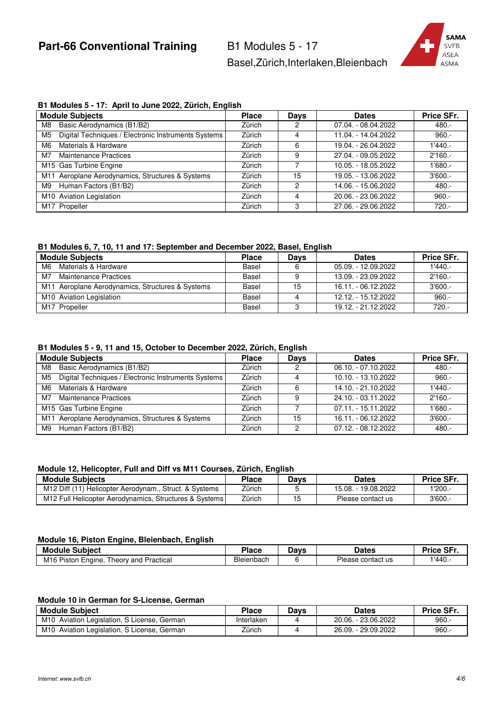Part-66 Conventional Training B1 Modules 5 - 17

Basel,Zürich,Interlaken,Bleienbach



#### **B1 Modules 5 - 17: April to June 2022, Zürich, English**

| <b>Module Subjects</b>                                                | <b>Place</b> | <b>Days</b> | <b>Dates</b>        | Price SFr. |
|-----------------------------------------------------------------------|--------------|-------------|---------------------|------------|
| Basic Aerodynamics (B1/B2)<br>M8                                      | Zürich       | 2           | 07.04. - 08.04.2022 | 480.-      |
| Digital Techniques / Electronic Instruments Systems<br>M <sub>5</sub> | Zürich       | 4           | 11.04. - 14.04.2022 | $960 -$    |
| Materials & Hardware<br>M6                                            | Zürich       | 6           | 19.04. - 26.04.2022 | $1'440. -$ |
| Maintenance Practices<br>M7                                           | Zürich       | 9           | 27.04. - 09.05.2022 | $2'160. -$ |
| M15 Gas Turbine Engine                                                | Zürich       |             | 10.05. - 18.05.2022 | $1'680. -$ |
| M11 Aeroplane Aerodynamics, Structures & Systems                      | Zürich       | 15          | 19.05. - 13.06.2022 | $3'600. -$ |
| Human Factors (B1/B2)<br>M9                                           | Zürich       | 2           | 14.06. - 15.06.2022 | $480. -$   |
| M10 Aviation Legislation                                              | Zürich       |             | 20.06. - 23.06.2022 | $960 -$    |
| M17 Propeller                                                         | Zürich       | З           | 27.06. - 29.06.2022 | $720 -$    |

### **B1 Modules 6, 7, 10, 11 and 17: September and December 2022, Basel, English**

| <b>Module Subjects</b>                           | <b>Place</b> | Days | <b>Dates</b>        | Price SFr. |
|--------------------------------------------------|--------------|------|---------------------|------------|
| M6<br>Materials & Hardware                       | Basel        |      | 05.09. - 12.09.2022 | $1'440. -$ |
| M7<br>Maintenance Practices                      | Basel        |      | 13.09. - 23.09.2022 | $2'160. -$ |
| M11 Aeroplane Aerodynamics, Structures & Systems | Basel        |      | 16.11. - 06.12.2022 | $3'600. -$ |
| M <sub>10</sub> Aviation Legislation             | Basel        |      | 12.12. - 15.12.2022 | $960. -$   |
| M17 Propeller                                    | Basel        |      | 19.12. - 21.12.2022 | $720 -$    |

#### **B1 Modules 5 - 9, 11 and 15, October to December 2022, Zürich, English**

|                | <b>Module Subjects</b>                              | <b>Place</b> | <b>Days</b> | <b>Dates</b>        | Price SFr. |
|----------------|-----------------------------------------------------|--------------|-------------|---------------------|------------|
| M8             | Basic Aerodynamics (B1/B2)                          | Zürich       | 0           | 06.10. - 07.10.2022 | $480 -$    |
| M <sub>5</sub> | Digital Techniques / Electronic Instruments Systems | Zürich       | 4           | 10.10. - 13.10.2022 | $960 -$    |
| M6             | Materials & Hardware                                | Zürich       | 6           | 14.10. - 21.10.2022 | $1'440. -$ |
| M7             | <b>Maintenance Practices</b>                        | Zürich       | 9           | 24.10. - 03.11.2022 | $2'160. -$ |
|                | M15 Gas Turbine Engine                              | Zürich       |             | 07.11. - 15.11.2022 | $1'680. -$ |
|                | M11 Aeroplane Aerodynamics, Structures & Systems    | Zürich       | 15          | 16.11. - 06.12.2022 | $3'600 -$  |
| M9             | Human Factors (B1/B2)                               | Zürich       | ◠           | 07.12. - 08.12.2022 | $480. -$   |

#### **Module 12, Helicopter, Full and Diff vs M11 Courses, Zürich, English**

| <b>Module Subiects</b>                                 | Place  | Davs | <b>Dates</b>        | Price SFr. |
|--------------------------------------------------------|--------|------|---------------------|------------|
| M12 Diff (11) Helicopter Aerodynam., Struct. & Systems | Zürich |      | 15.08. - 19.08.2022 | 1'200.     |
| M12 Full Helicopter Aerodynamics, Structures & Systems | Zürich |      | Please contact us   | 3'600.     |

#### **Module 16, Piston Engine, Bleienbach, English**

| <b>Module</b><br><b>Subject</b>                              | Place      | -<br>ינΩ | <b>Dates</b>      | <b>SFr</b><br><b>Drion</b> |
|--------------------------------------------------------------|------------|----------|-------------------|----------------------------|
| M <sub>16</sub> Piston<br>Practical<br>Engine<br>I heorv and | Bleienbach |          | Please contact us | 1'440.                     |

#### **Module 10 in German for S-License, German**

| <b>Module Subiect</b>                          | <b>Place</b> | Davs | Dates                    | Price SFr. |
|------------------------------------------------|--------------|------|--------------------------|------------|
| M10<br>Aviation Legislation, S License, German | Interlaken   |      | 20.06. - 23.06.2022      | 960.       |
| M10<br>Aviation Legislation, S License, German | Zürich       |      | . - 29.09.2022<br>26.09. | 960.       |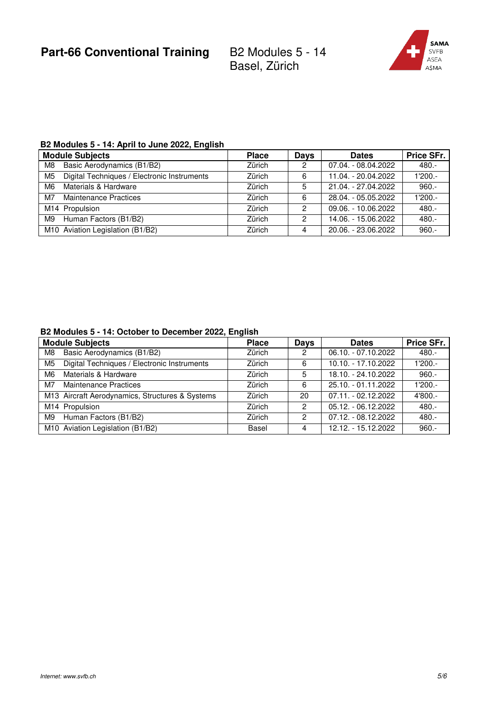

## **B2 Modules 5 - 14: April to June 2022, English**

|    | <b>Module Subjects</b>                      | <b>Place</b> | <b>Days</b> | <b>Dates</b>        | Price SFr. |
|----|---------------------------------------------|--------------|-------------|---------------------|------------|
| M8 | Basic Aerodynamics (B1/B2)                  | Zürich       | 2           | 07.04. - 08.04.2022 | 480.-      |
| M5 | Digital Techniques / Electronic Instruments | Zürich       | 6           | 11.04. - 20.04.2022 | $1'200. -$ |
| M6 | Materials & Hardware                        | Zürich       | 5           | 21.04. - 27.04.2022 | $960 -$    |
| M7 | Maintenance Practices                       | Zürich       | 6           | 28.04. - 05.05.2022 | $1'200. -$ |
|    | M14 Propulsion                              | Zürich       | 2           | 09.06. - 10.06.2022 | $480 -$    |
| M9 | Human Factors (B1/B2)                       | Zürich       | 2           | 14.06. - 15.06.2022 | $480 -$    |
|    | M10 Aviation Legislation (B1/B2)            | Zürich       | 4           | 20.06. - 23.06.2022 | $960 -$    |

### **B2 Modules 5 - 14: October to December 2022, English**

| <b>Module Subjects</b> |                                                 | <b>Place</b> | <b>Days</b> | <b>Dates</b>        | Price SFr. |
|------------------------|-------------------------------------------------|--------------|-------------|---------------------|------------|
| M8                     | Basic Aerodynamics (B1/B2)                      | Zürich       | 2           | 06.10. - 07.10.2022 | $480 -$    |
| M5                     | Digital Techniques / Electronic Instruments     | Zürich       | 6           | 10.10. - 17.10.2022 | 1'200.-    |
| M6                     | Materials & Hardware                            | Zürich       | 5           | 18.10. - 24.10.2022 | $960 -$    |
| M7                     | Maintenance Practices                           | Zürich       | 6           | 25.10. - 01.11.2022 | 1'200.-    |
|                        | M13 Aircraft Aerodynamics, Structures & Systems | Zürich       | 20          | 07.11. - 02.12.2022 | 4'800.-    |
|                        | M14 Propulsion                                  | Zürich       | 2           | 05.12. - 06.12.2022 | $480 -$    |
| M9                     | Human Factors (B1/B2)                           | Zürich       | 2           | 07.12. - 08.12.2022 | $480 -$    |
|                        | M10 Aviation Legislation (B1/B2)                | Basel        | 4           | 12.12. - 15.12.2022 | $960 -$    |